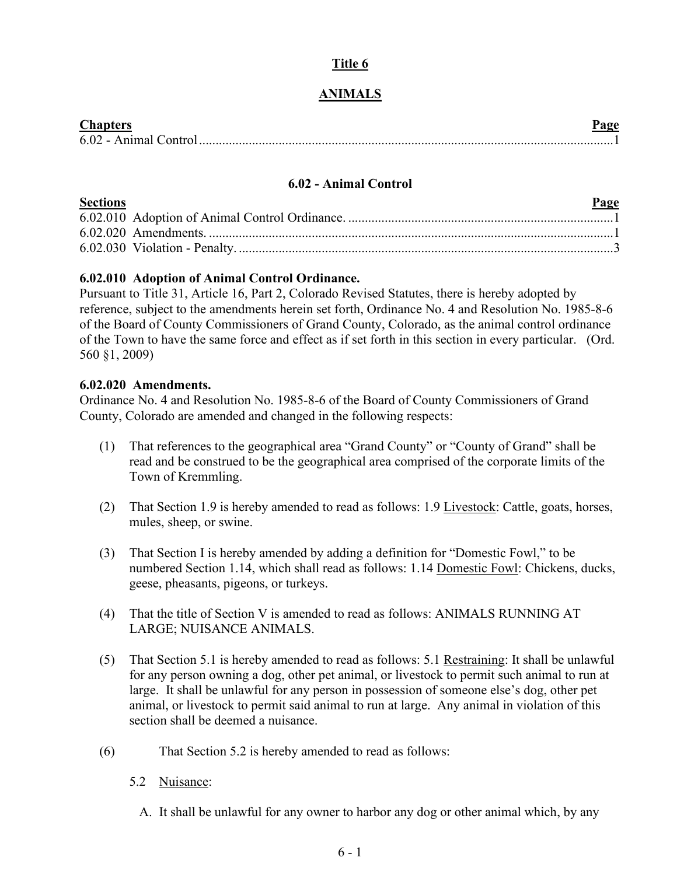# **Title 6**

# **ANIMALS**

| <b>Chanters</b>       |  |
|-----------------------|--|
| 6.02 - Animal Control |  |

### **6.02 - Animal Control**

<span id="page-0-0"></span>

| <b>Sections</b> | Page |
|-----------------|------|
|                 |      |
|                 |      |
|                 |      |

## **6.02.010 Adoption of Animal Control Ordinance.**

Pursuant to Title 31, Article 16, Part 2, Colorado Revised Statutes, there is hereby adopted by reference, subject to the amendments herein set forth, Ordinance No. 4 and Resolution No. 1985-8-6 of the Board of County Commissioners of Grand County, Colorado, as the animal control ordinance of the Town to have the same force and effect as if set forth in this section in every particular. (Ord. 560 §1, 2009)

#### **6.02.020 Amendments.**

Ordinance No. 4 and Resolution No. 1985-8-6 of the Board of County Commissioners of Grand County, Colorado are amended and changed in the following respects:

- (1) That references to the geographical area "Grand County" or "County of Grand" shall be read and be construed to be the geographical area comprised of the corporate limits of the Town of Kremmling.
- (2) That Section 1.9 is hereby amended to read as follows: 1.9 Livestock: Cattle, goats, horses, mules, sheep, or swine.
- (3) That Section I is hereby amended by adding a definition for "Domestic Fowl," to be numbered Section 1.14, which shall read as follows: 1.14 Domestic Fowl: Chickens, ducks, geese, pheasants, pigeons, or turkeys.
- (4) That the title of Section V is amended to read as follows: ANIMALS RUNNING AT LARGE; NUISANCE ANIMALS.
- (5) That Section 5.1 is hereby amended to read as follows: 5.1 Restraining: It shall be unlawful for any person owning a dog, other pet animal, or livestock to permit such animal to run at large. It shall be unlawful for any person in possession of someone else's dog, other pet animal, or livestock to permit said animal to run at large. Any animal in violation of this section shall be deemed a nuisance.
- (6) That Section 5.2 is hereby amended to read as follows:
	- 5.2 Nuisance:
		- A. It shall be unlawful for any owner to harbor any dog or other animal which, by any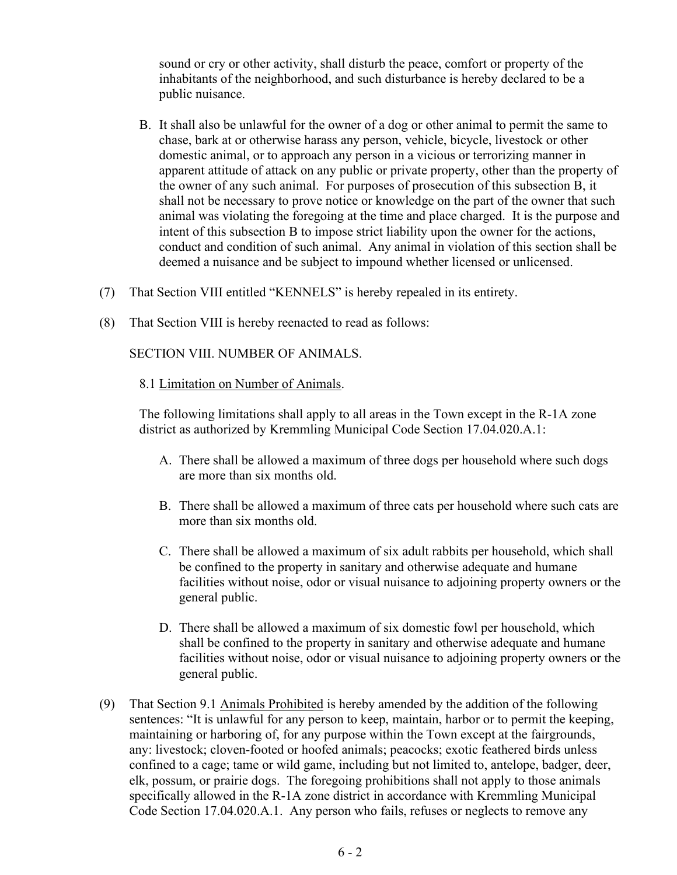sound or cry or other activity, shall disturb the peace, comfort or property of the inhabitants of the neighborhood, and such disturbance is hereby declared to be a public nuisance.

- B. It shall also be unlawful for the owner of a dog or other animal to permit the same to chase, bark at or otherwise harass any person, vehicle, bicycle, livestock or other domestic animal, or to approach any person in a vicious or terrorizing manner in apparent attitude of attack on any public or private property, other than the property of the owner of any such animal. For purposes of prosecution of this subsection B, it shall not be necessary to prove notice or knowledge on the part of the owner that such animal was violating the foregoing at the time and place charged. It is the purpose and intent of this subsection B to impose strict liability upon the owner for the actions, conduct and condition of such animal. Any animal in violation of this section shall be deemed a nuisance and be subject to impound whether licensed or unlicensed.
- (7) That Section VIII entitled "KENNELS" is hereby repealed in its entirety.
- (8) That Section VIII is hereby reenacted to read as follows:

SECTION VIII. NUMBER OF ANIMALS.

8.1 Limitation on Number of Animals.

The following limitations shall apply to all areas in the Town except in the R-1A zone district as authorized by Kremmling Municipal Code Section 17.04.020.A.1:

- A. There shall be allowed a maximum of three dogs per household where such dogs are more than six months old.
- B. There shall be allowed a maximum of three cats per household where such cats are more than six months old.
- C. There shall be allowed a maximum of six adult rabbits per household, which shall be confined to the property in sanitary and otherwise adequate and humane facilities without noise, odor or visual nuisance to adjoining property owners or the general public.
- D. There shall be allowed a maximum of six domestic fowl per household, which shall be confined to the property in sanitary and otherwise adequate and humane facilities without noise, odor or visual nuisance to adjoining property owners or the general public.
- (9) That Section 9.1 Animals Prohibited is hereby amended by the addition of the following sentences: "It is unlawful for any person to keep, maintain, harbor or to permit the keeping, maintaining or harboring of, for any purpose within the Town except at the fairgrounds, any: livestock; cloven-footed or hoofed animals; peacocks; exotic feathered birds unless confined to a cage; tame or wild game, including but not limited to, antelope, badger, deer, elk, possum, or prairie dogs. The foregoing prohibitions shall not apply to those animals specifically allowed in the R-1A zone district in accordance with Kremmling Municipal Code Section 17.04.020.A.1. Any person who fails, refuses or neglects to remove any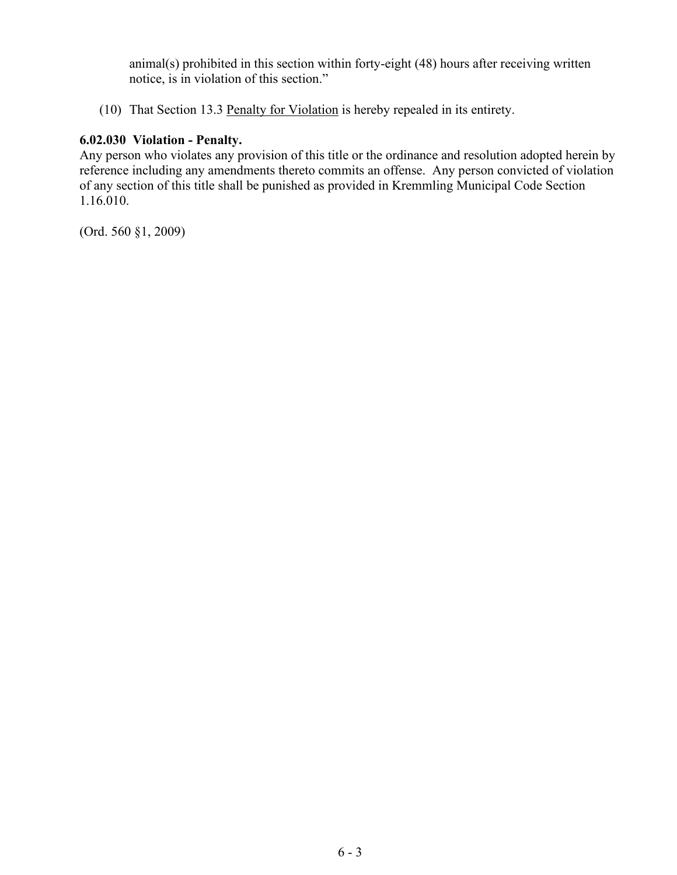animal(s) prohibited in this section within forty-eight (48) hours after receiving written notice, is in violation of this section."

(10) That Section 13.3 Penalty for Violation is hereby repealed in its entirety.

### **6.02.030 Violation - Penalty.**

Any person who violates any provision of this title or the ordinance and resolution adopted herein by reference including any amendments thereto commits an offense. Any person convicted of violation of any section of this title shall be punished as provided in Kremmling Municipal Code Section 1.16.010.

(Ord. 560 §1, 2009)